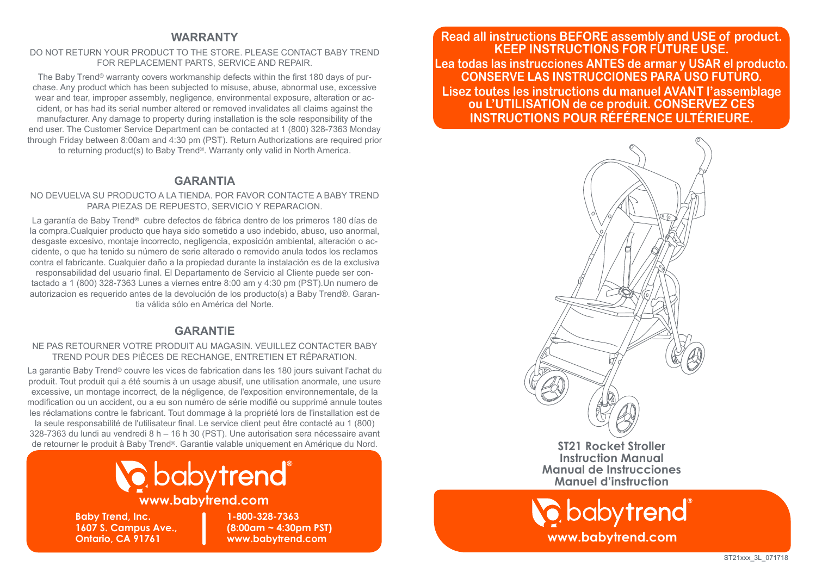#### **WARRANTY**

#### DO NOT RETURN YOUR PRODUCT TO THE STORE. PLEASE CONTACT BABY TREND FOR REPLACEMENT PARTS, SERVICE AND REPAIR.

The Baby Trend® warranty covers workmanship defects within the first 180 days of purchase. Any product which has been subjected to misuse, abuse, abnormal use, excessive wear and tear, improper assembly, negligence, environmental exposure, alteration or accident, or has had its serial number altered or removed invalidates all claims against the manufacturer. Any damage to property during installation is the sole responsibility of the end user. The Customer Service Department can be contacted at 1 (800) 328-7363 Monday through Friday between 8:00am and 4:30 pm (PST). Return Authorizations are required prior to returning product(s) to Baby Trend®. Warranty only valid in North America.

#### **GARANTIA**

#### NO DEVUELVA SU PRODUCTO A LA TIENDA. POR FAVOR CONTACTE A BABY TREND PARA PIEZAS DE REPUESTO, SERVICIO Y REPARACION.

La garantía de Baby Trend® cubre defectos de fábrica dentro de los primeros 180 días de la compra.Cualquier producto que haya sido sometido a uso indebido, abuso, uso anormal, desgaste excesivo, montaje incorrecto, negligencia, exposición ambiental, alteración o accidente, o que ha tenido su número de serie alterado o removido anula todos los reclamos contra el fabricante. Cualquier daño a la propiedad durante la instalación es de la exclusiva responsabilidad del usuario final. El Departamento de Servicio al Cliente puede ser contactado a 1 (800) 328-7363 Lunes a viernes entre 8:00 am y 4:30 pm (PST).Un numero de autorizacion es requerido antes de la devolución de los producto(s) a Baby Trend®. Garantia válida sólo en América del Norte.

#### **GARANTIE**

#### NE PAS RETOURNER VOTRE PRODUIT AU MAGASIN. VEUILLEZ CONTACTER BABY TREND POUR DES PIÈCES DE RECHANGE, ENTRETIEN ET RÉPARATION.

La garantie Baby Trend<sup>®</sup> couvre les vices de fabrication dans les 180 jours suivant l'achat du produit. Tout produit qui a été soumis à un usage abusif, une utilisation anormale, une usure excessive, un montage incorrect, de la négligence, de l'exposition environnementale, de la modification ou un accident, ou a eu son numéro de série modifié ou supprimé annule toutes les réclamations contre le fabricant. Tout dommage à la propriété lors de l'installation est de la seule responsabilité de l'utilisateur final. Le service client peut être contacté au 1 (800) 328-7363 du lundi au vendredi 8 h – 16 h 30 (PST). Une autorisation sera nécessaire avant de retourner le produit à Baby Trend®. Garantie valable uniquement en Amérique du Nord.



#### **www.babytrend.com**

**Baby Trend, Inc. 1607 S. Campus Ave., Ontario, CA 91761**

**1-800-328-7363 (8:00am ~ 4:30pm PST) www.babytrend.com**

**Read all instructions BEFORE assembly and USE of product. KEEP INSTRUCTIONS FOR FUTURE USE. Lea todas las instrucciones ANTES de armar y USAR el producto. CONSERVE LAS INSTRUCCIONES PARA USO FUTURO. Lisez toutes les instructions du manuel AVANT l'assemblage ou L'UTILISATION de ce produit. CONSERVEZ CES INSTRUCTIONS POUR RÉFÉRENCE ULTÉRIEURE.**



**ST21 Rocket Stroller Instruction Manual Manual de Instrucciones Manuel d'instruction**

**www.babytrend.com**

babytrend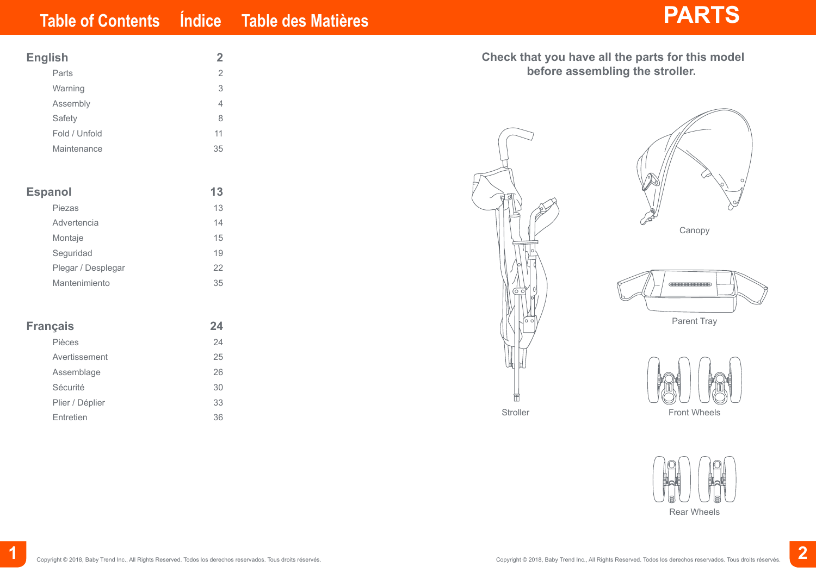| <b>English</b>     | $\overline{2}$ |  |
|--------------------|----------------|--|
| Parts              | $\overline{2}$ |  |
| Warning            | 3              |  |
| Assembly           | $\overline{4}$ |  |
| Safety             | 8              |  |
| Fold / Unfold      | 11             |  |
| Maintenance        | 35             |  |
|                    |                |  |
| <b>Espanol</b>     | 13             |  |
| Piezas             | 13             |  |
| Advertencia        | 14             |  |
| Montaje            | 15             |  |
| Seguridad          | 19             |  |
| Plegar / Desplegar | 22             |  |
| Mantenimiento      | 35             |  |
|                    |                |  |
| <b>Français</b>    | 24             |  |
| Pièces             | 24             |  |
| Avertissement      | 25             |  |
| Assemblage         | 26             |  |
| Sécurité           | 30             |  |

| Check that you have all the parts for this model<br>before assembling the stroller. |                                              |  |
|-------------------------------------------------------------------------------------|----------------------------------------------|--|
| ි                                                                                   | O<br>Canopy                                  |  |
| $\circ$<br>Ο<br>$\circ$ $\circ$                                                     | ( <del>THIHHHHHHHHHHHH)</del><br>Parent Tray |  |
|                                                                                     |                                              |  |

Stroller



UU Front Wheels



Plier / Déplier 33 Entretien 36

**1**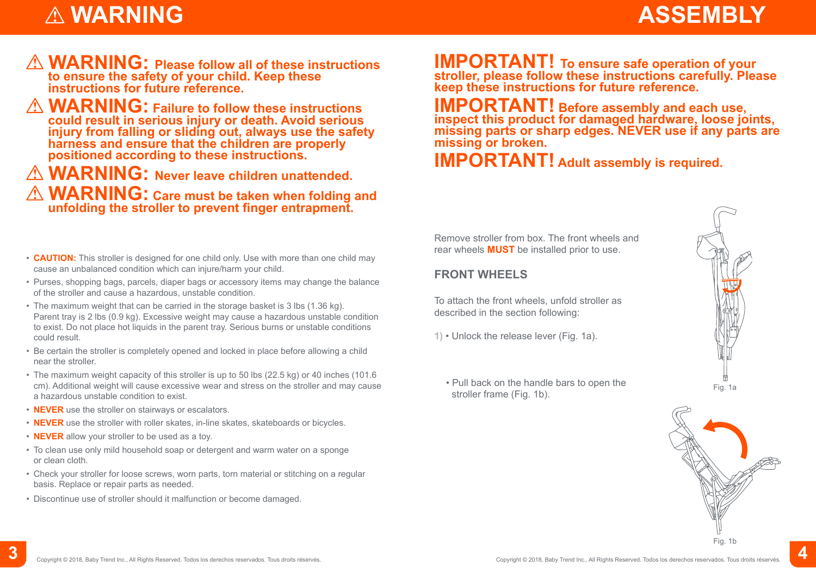## **ASSEMBLY**

## **WARNING**

- **WARNING: Please follow all of these instructions to ensure the safety of your child. Keep these instructions for future reference.**
- **WARNING: Failure to follow these instructions could result in serious injury or death. Avoid serious injury from falling or sliding out, always use the safety harness and ensure that the children are properly positioned according to these instructions.**

**WARNING: Never leave children unattended.**

 **WARNING: Care must be taken when folding and unfolding the stroller to prevent finger entrapment.**

- **CAUTION:** This stroller is designed for one child only. Use with more than one child may cause an unbalanced condition which can injure/harm your child.
- Purses, shopping bags, parcels, diaper bags or accessory items may change the balance of the stroller and cause a hazardous, unstable condition.
- The maximum weight that can be carried in the storage basket is 3 lbs (1.36 kg). Parent tray is 2 lbs (0.9 kg). Excessive weight may cause a hazardous unstable condition to exist. Do not place hot liquids in the parent tray. Serious burns or unstable conditions could result.
- Be certain the stroller is completely opened and locked in place before allowing a child near the stroller.
- The maximum weight capacity of this stroller is up to 50 lbs (22.5 kg) or 40 inches (101.6 cm). Additional weight will cause excessive wear and stress on the stroller and may cause a hazardous unstable condition to exist.
- **NEVER** use the stroller on stairways or escalators.
- **NEVER** use the stroller with roller skates, in-line skates, skateboards or bicycles.
- **NEVER** allow your stroller to be used as a toy.
- To clean use only mild household soap or detergent and warm water on a sponge or clean cloth.
- Check your stroller for loose screws, worn parts, torn material or stitching on a regular basis. Replace or repair parts as needed.
- Discontinue use of stroller should it malfunction or become damaged.

**IMPORTANT!** To ensure safe operation of your stroller, please follow these instructions carefully. Please **keep these instructions for future reference.**

**IMPORTANT! Before assembly and each use, inspect this product for damaged hardware, loose joints, missing parts or sharp edges. NEVER use if any parts are missing or broken.**

### **IMPORTANT! Adult assembly is required.**

Remove stroller from box. The front wheels and rear wheels **MUST** be installed prior to use.

#### **FRONT WHEELS**

To attach the front wheels, unfold stroller as described in the section following:

- **1)** Unlock the release lever (Fig. 1a).
	- Pull back on the handle bars to open the Full back on the nariole bars to open the measurement of Fig. 1a<br>stroller frame (Fig. 1b).



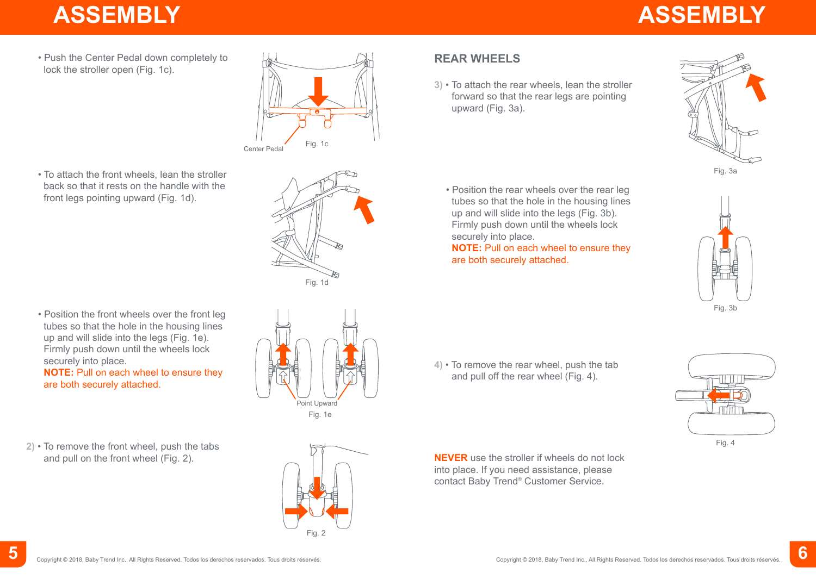# **ASSEMBLY ASSEMBLY**

• Push the Center Pedal down completely to lock the stroller open (Fig. 1c).



• To attach the front wheels, lean the stroller back so that it rests on the handle with the front legs pointing upward (Fig. 1d).



• Position the front wheels over the front leg tubes so that the hole in the housing lines up and will slide into the legs (Fig. 1e). Firmly push down until the wheels lock securely into place. **NOTE:** Pull on each wheel to ensure they

are both securely attached.

**2)** • To remove the front wheel, push the tabs and pull on the front wheel (Fig. 2).



Fig. 2

**3)** • To attach the rear wheels, lean the stroller forward so that the rear legs are pointing

**REAR WHEELS**

upward (Fig. 3a).

• Position the rear wheels over the rear leg tubes so that the hole in the housing lines up and will slide into the legs (Fig. 3b). Firmly push down until the wheels lock securely into place.

**NOTE:** Pull on each wheel to ensure they are both securely attached.





**4)** • To remove the rear wheel, push the tab and pull off the rear wheel (Fig. 4).

**NEVER** use the stroller if wheels do not lock into place. If you need assistance, please contact Baby Trend® Customer Service.

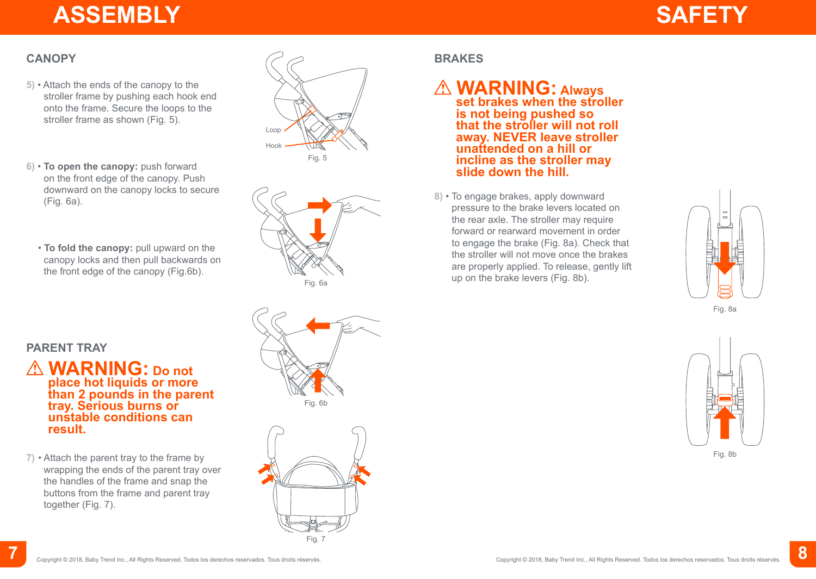## **ASSEMBLY**



#### **CANOPY**

- **5)** Attach the ends of the canopy to the stroller frame by pushing each hook end onto the frame. Secure the loops to the stroller frame as shown (Fig. 5).
- **6) To open the canopy:** push forward on the front edge of the canopy. Push downward on the canopy locks to secure (Fig. 6a).
	- **To fold the canopy:** pull upward on the canopy locks and then pull backwards on the front edge of the canopy (Fig.6b).





#### **BRAKES**

#### **WARNING:** Always<br>set brakes when the stroller **is not being pushed so that the stroller will not roll away. NEVER leave stroller unattended on a hill or incline as the stroller may slide down the hill.**

**8)** • To engage brakes, apply downward pressure to the brake levers located on the rear axle. The stroller may require forward or rearward movement in order to engage the brake (Fig. 8a). Check that the stroller will not move once the brakes are properly applied. To release, gently lift up on the brake levers (Fig. 8b).



#### **PARENT TRAY**

- **WARNING: Do not place hot liquids or more than 2 pounds in the parent tray. Serious burns or unstable conditions can result.**
- **7)** Attach the parent tray to the frame by wrapping the ends of the parent tray over the handles of the frame and snap the buttons from the frame and parent tray together (Fig. 7).





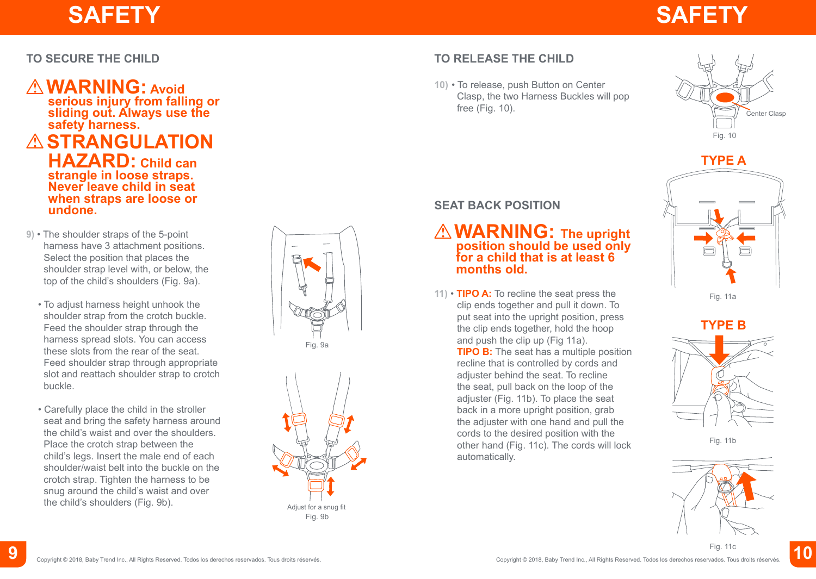# **SAFETY SAFETY**

#### **TO SECURE THE CHILD**

### **WARNING: Avoid**

**serious injury from falling or sliding out. Always use the safety harness.**

**ASTRANGULATION HAZARD: Child can strangle in loose straps. Never leave child in seat when straps are loose or undone.**

- **9)** The shoulder straps of the 5-point harness have 3 attachment positions. Select the position that places the shoulder strap level with, or below, the top of the child's shoulders (Fig. 9a).
	- To adjust harness height unhook the shoulder strap from the crotch buckle. Feed the shoulder strap through the harness spread slots. You can access these slots from the rear of the seat. Feed shoulder strap through appropriate slot and reattach shoulder strap to crotch buckle.
	- Carefully place the child in the stroller seat and bring the safety harness around the child's waist and over the shoulders. Place the crotch strap between the child's legs. Insert the male end of each shoulder/waist belt into the buckle on the crotch strap. Tighten the harness to be snug around the child's waist and over the child's shoulders (Fig. 9b).





### **TO RELEASE THE CHILD**

**10)** • To release, push Button on Center Clasp, the two Harness Buckles will pop free (Fig. 10).





**SEAT BACK POSITION**

### **WARNING: The upright position should be used only for a child that is at least 6 months old.**

**11)** • **TIPO A:** To recline the seat press the clip ends together and pull it down. To put seat into the upright position, press the clip ends together, hold the hoop and push the clip up (Fig 11a).

**TIPO B:** The seat has a multiple position recline that is controlled by cords and adjuster behind the seat. To recline the seat, pull back on the loop of the adjuster (Fig. 11b). To place the seat back in a more upright position, grab the adjuster with one hand and pull the cords to the desired position with the other hand (Fig. 11c). The cords will lock automatically.







Fig. 11b



FIG. 11C<br>Copyright © 2018, Baby Trend Inc., All Rights Reservedos. Todos los derechos reservados. Tous droits réservés. Fig. 11c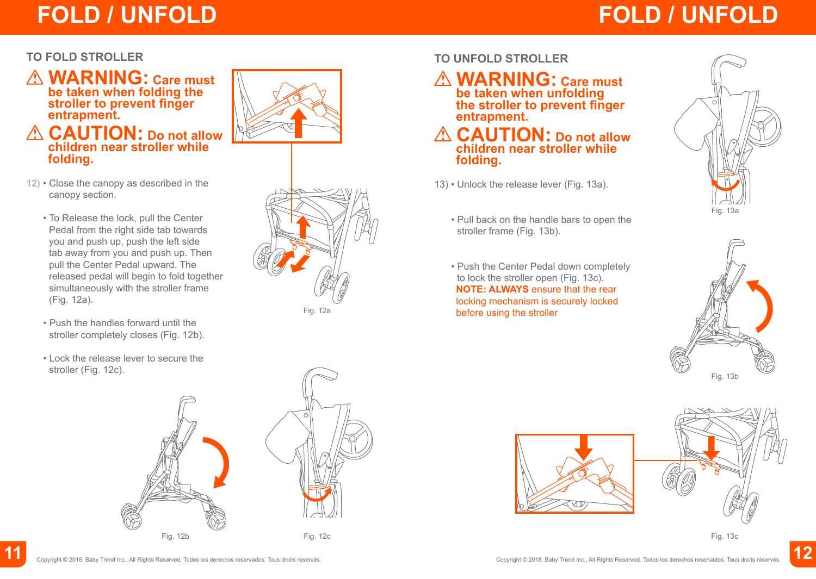## **FOLD / UNFOLD FOLD / UNFOLD**

#### **TO FOLD STROLLER**

 **WARNING: Care must be taken when folding the stroller to prevent finger entrapment.**

#### **CAUTION: Do not allow children near stroller while folding.**



- **12)** Close the canopy as described in the canopy section.
	- To Release the lock, pull the Center Pedal from the right side tab towards you and push up, push the left side tab away from you and push up. Then pull the Center Pedal upward. The released pedal will begin to fold together simultaneously with the stroller frame (Fig. 12a).
	- Push the handles forward until the stroller completely closes (Fig. 12b).
	- Lock the release lever to secure the stroller (Fig. 12c).



Fig. 12a

#### **TO UNFOLD STROLLER**

 **WARNING: Care must be taken when unfolding the stroller to prevent finger entrapment.**

 **CAUTION: Do not allow children near stroller while folding.**

- 13) Unlock the release lever (Fig. 13a).
	- Pull back on the handle bars to open the stroller frame (Fig. 13b).
	- Push the Center Pedal down completely to lock the stroller open (Fig. 13c). **NOTE: ALWAYS** ensure that the rear locking mechanism is securely locked before using the stroller







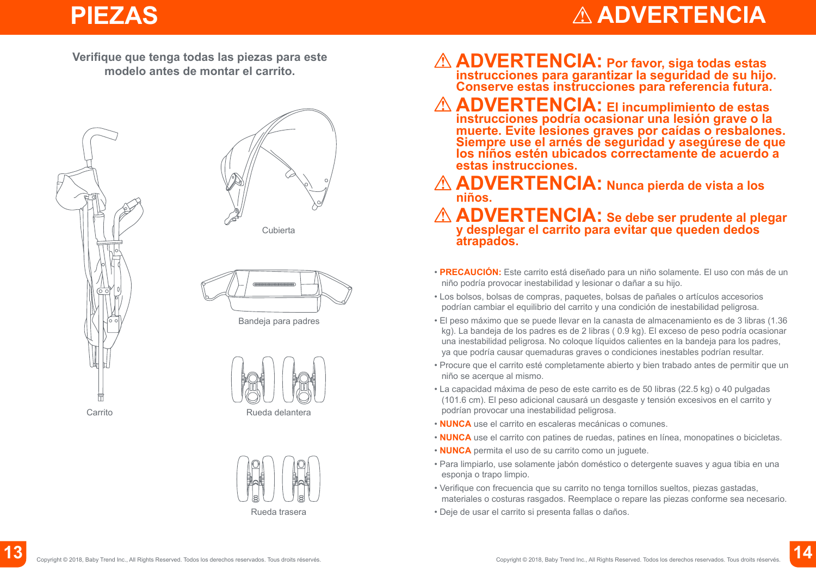### **PIEZAS**

## **ADVERTENCIA**

**Verifique que tenga todas las piezas para este modelo antes de montar el carrito.**





Cubierta



Bandeja para padres





- **ADVERTENCIA: Por favor, siga todas estas instrucciones para garantizar la seguridad de su hijo. Conserve estas instrucciones para referencia futura.**
- **ADVERTENCIA: El incumplimiento de estas instrucciones podría ocasionar una lesión grave o la muerte. Evite lesiones graves por caídas o resbalones. Siempre use el arnés de seguridad y asegúrese de que los niños estén ubicados correctamente de acuerdo a estas instrucciones.**
- **ADVERTENCIA: Nunca pierda de vista a los niños.**
- **ADVERTENCIA: Se debe ser prudente al plegar y desplegar el carrito para evitar que queden dedos atrapados.**
- **PRECAUCIÓN:** Este carrito está diseñado para un niño solamente. El uso con más de un niño podría provocar inestabilidad y lesionar o dañar a su hijo.
- Los bolsos, bolsas de compras, paquetes, bolsas de pañales o artículos accesorios podrían cambiar el equilibrio del carrito y una condición de inestabilidad peligrosa.
- El peso máximo que se puede llevar en la canasta de almacenamiento es de 3 libras (1.36 kg). La bandeja de los padres es de 2 libras ( 0.9 kg). El exceso de peso podría ocasionar una inestabilidad peligrosa. No coloque líquidos calientes en la bandeja para los padres, ya que podría causar quemaduras graves o condiciones inestables podrían resultar.
- Procure que el carrito esté completamente abierto y bien trabado antes de permitir que un niño se acerque al mismo.
- La capacidad máxima de peso de este carrito es de 50 libras (22.5 kg) o 40 pulgadas (101.6 cm). El peso adicional causará un desgaste y tensión excesivos en el carrito y podrían provocar una inestabilidad peligrosa.
- **NUNCA** use el carrito en escaleras mecánicas o comunes.
- **NUNCA** use el carrito con patines de ruedas, patines en línea, monopatines o bicicletas.
- **NUNCA** permita el uso de su carrito como un juguete.
- Para limpiarlo, use solamente jabón doméstico o detergente suaves y agua tibia en una esponja o trapo limpio.
- Verifique con frecuencia que su carrito no tenga tornillos sueltos, piezas gastadas, materiales o costuras rasgados. Reemplace o repare las piezas conforme sea necesario.
- Deje de usar el carrito si presenta fallas o daños.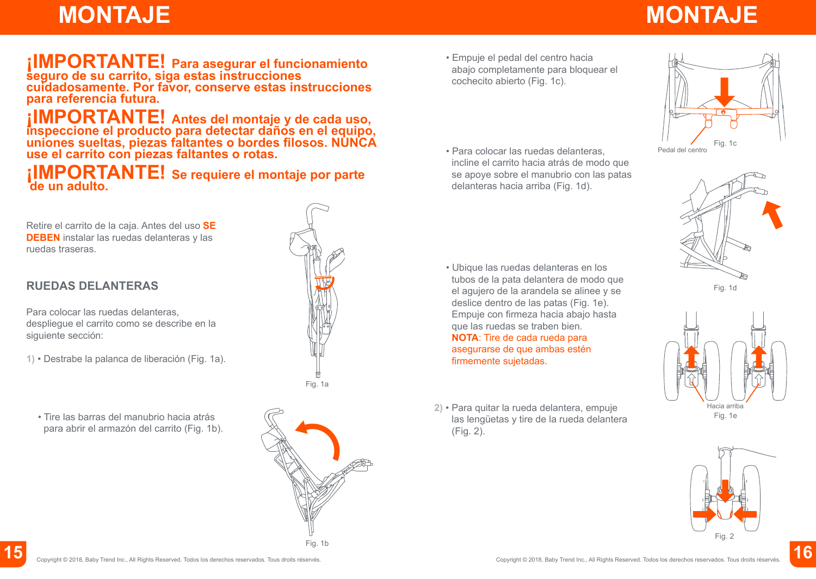# **MONTAJE MONTAJE**

### **¡IMPORTANTE! Para asegurar el funcionamiento seguro de su carrito, siga estas instrucciones cuidadosamente. Por favor, conserve estas instrucciones para referencia futura.**

### **¡IMPORTANTE! Antes del montaje y de cada uso, inspeccione el producto para detectar daños en el equipo, uniones sueltas, piezas faltantes o bordes filosos. NUNCA use el carrito con piezas faltantes o rotas.**

*i***IMPORTANTE!** Se requiere el montaje por parte

Retire el carrito de la caja. Antes del uso **SE DEBEN** instalar las ruedas delanteras y las ruedas traseras.

#### **RUEDAS DELANTERAS**

Para colocar las ruedas delanteras, despliegue el carrito como se describe en la siguiente sección:

**1)** • Destrabe la palanca de liberación (Fig. 1a).



• Tire las barras del manubrio hacia atrás para abrir el armazón del carrito (Fig. 1b).



- Empuje el pedal del centro hacia abajo completamente para bloquear el cochecito abierto (Fig. 1c).
- Para colocar las ruedas delanteras, incline el carrito hacia atrás de modo que se apoye sobre el manubrio con las patas delanteras hacia arriba (Fig. 1d).

- Ubique las ruedas delanteras en los tubos de la pata delantera de modo que el agujero de la arandela se alinee y se deslice dentro de las patas (Fig. 1e). Empuje con firmeza hacia abajo hasta que las ruedas se traben bien. **NOTA**: Tire de cada rueda para asegurarse de que ambas estén firmemente sujetadas.
- **2)** Para quitar la rueda delantera, empuje las lengüetas y tire de la rueda delantera (Fig. 2).





Fig. 1d





Copyright © 2018, Baby Trend Inc., All Rights Reserved. Todos los derechos reservados. Tous droits réservés.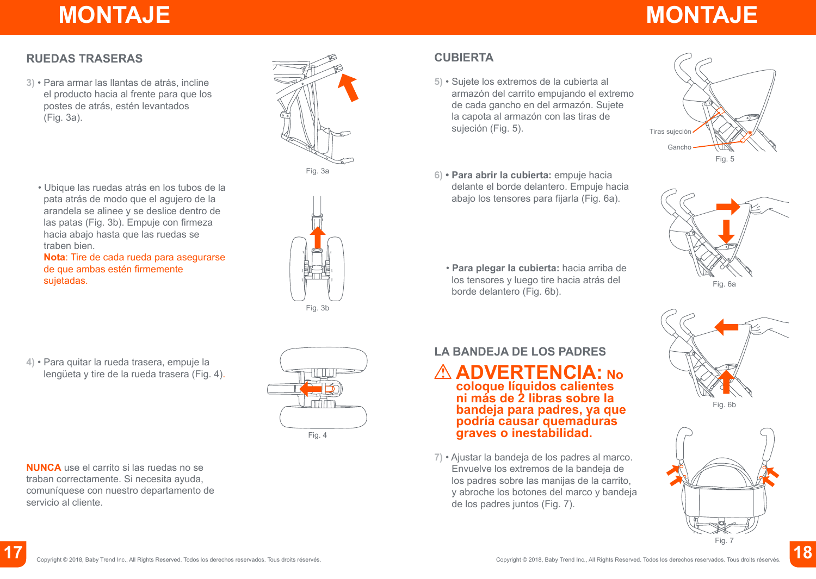# **MONTAJE MONTAJE**

#### **RUEDAS TRASERAS**

**3)** • Para armar las llantas de atrás, incline el producto hacia al frente para que los postes de atrás, estén levantados (Fig. 3a).



**Nota**: Tire de cada rueda para asegurarse de que ambas estén firmemente sujetadas.





- **CUBIERTA**
- **5)** Sujete los extremos de la cubierta al armazón del carrito empujando el extremo de cada gancho en del armazón. Sujete la capota al armazón con las tiras de sujeción (Fig. 5).
- **6) Para abrir la cubierta:** empuje hacia delante el borde delantero. Empuje hacia abajo los tensores para fijarla (Fig. 6a).
	- **Para plegar la cubierta:** hacia arriba de los tensores y luego tire hacia atrás del borde delantero (Fig. 6b).





Fig. 6b



**4)** • Para quitar la rueda trasera, empuje la lengüeta y tire de la rueda trasera (Fig. 4) .

**NUNCA** use el carrito si las ruedas no se traban correctamente. Si necesita ayuda, comuníquese con nuestro departamento de

servicio al cliente.



### **LA BANDEJA DE LOS PADRES**

**ADVERTENCIA: No coloque líquidos calientes ni más de 2 libras sobre la bandeja para padres, ya que podría causar quemaduras graves o inestabilidad.** 

**7)** • Ajustar la bandeja de los padres al marco. Envuelve los extremos de la bandeja de los padres sobre las manijas de la carrito, y abroche los botones del marco y bandeja de los padres juntos (Fig. 7).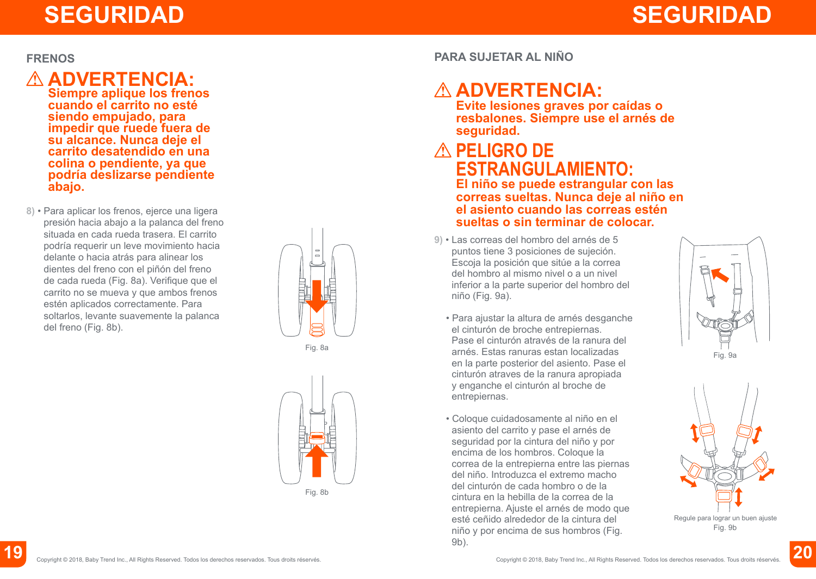#### **FRENOS**

### **ADVERTENCIA:**

**Siempre aplique los frenos cuando el carrito no esté siendo empujado, para impedir que ruede fuera de su alcance. Nunca deje el carrito desatendido en una colina o pendiente, ya que podría deslizarse pendiente abajo.** 

**8)** • Para aplicar los frenos, ejerce una ligera presión hacia abajo a la palanca del freno situada en cada rueda trasera. El carrito podría requerir un leve movimiento hacia delante o hacia atrás para alinear los dientes del freno con el piñón del freno de cada rueda (Fig. 8a). Verifique que el carrito no se mueva y que ambos frenos estén aplicados correctamente. Para soltarlos, levante suavemente la palanca del freno (Fig. 8b).



Fig. 8a



**PARA SUJETAR AL NIÑO**

### **ADVERTENCIA:**

**Evite lesiones graves por caídas o resbalones. Siempre use el arnés de seguridad.**

### **PELIGRO DE ESTRANGULAMIENTO:**

**El niño se puede estrangular con las correas sueltas. Nunca deje al niño en el asiento cuando las correas estén sueltas o sin terminar de colocar.**

- **9)** Las correas del hombro del arnés de 5 puntos tiene 3 posiciones de sujeción. Escoja la posición que sitúe a la correa del hombro al mismo nivel o a un nivel inferior a la parte superior del hombro del niño (Fig. 9a).
	- Para ajustar la altura de arnés desganche el cinturón de broche entrepiernas. Pase el cinturón através de la ranura del arnés. Estas ranuras estan localizadas en la parte posterior del asiento. Pase el cinturón atraves de la ranura apropiada y enganche el cinturón al broche de entrepiernas.
	- Coloque cuidadosamente al niño en el asiento del carrito y pase el arnés de seguridad por la cintura del niño y por encima de los hombros. Coloque la correa de la entrepierna entre las piernas del niño. Introduzca el extremo macho del cinturón de cada hombro o de la cintura en la hebilla de la correa de la entrepierna. Ajuste el arnés de modo que esté ceñido alrededor de la cintura del niño y por encima de sus hombros (Fig. 9b).



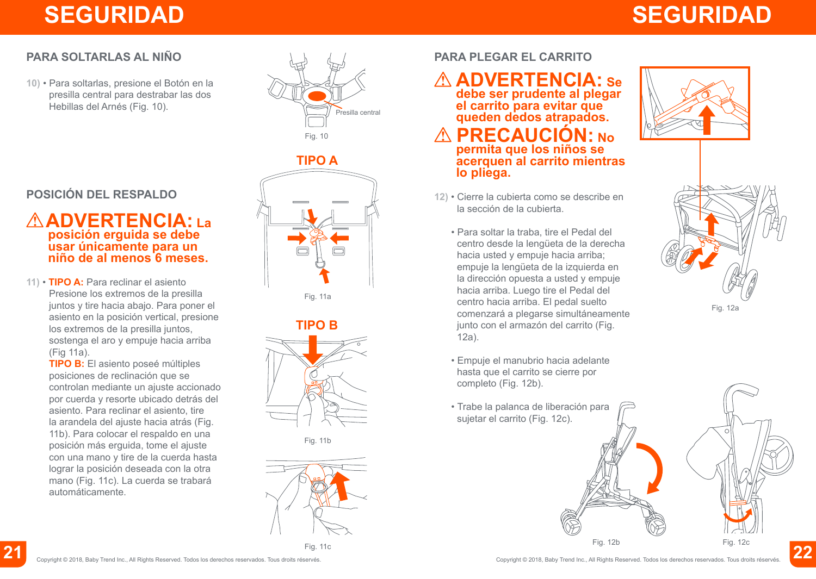# **SEGURIDAD SEGURIDAD**

### **PARA SOLTARLAS AL NIÑO**

**10)** • Para soltarlas, presione el Botón en la presilla central para destrabar las dos Hebillas del Arnés (Fig. 10).



### **POSICIÓN DEL RESPALDO**

#### **ADVERTENCIA: La posición erguida se debe usar únicamente para un niño de al menos 6 meses.**

**11)** • **TIPO A:** Para reclinar el asiento Presione los extremos de la presilla juntos y tire hacia abajo. Para poner el asiento en la posición vertical, presione los extremos de la presilla juntos, sostenga el aro y empuje hacia arriba (Fig 11a).

**TIPO B:** El asiento poseé múltiples posiciones de reclinación que se controlan mediante un ajuste accionado por cuerda y resorte ubicado detrás del asiento. Para reclinar el asiento, tire la arandela del ajuste hacia atrás (Fig. 11b). Para colocar el respaldo en una posición más erguida, tome el ajuste con una mano y tire de la cuerda hasta lograr la posición deseada con la otra mano (Fig. 11c). La cuerda se trabará automáticamente.



**TIPO A**

Fig. 11a



Fig. 11b



#### **PARA PLEGAR EL CARRITO**

### **ADVERTENCIA: Se**

**debe ser prudente al plegar el carrito para evitar que queden dedos atrapados.** 

 **PRECAUCIÓN: No permita que los niños se acerquen al carrito mientras lo pliega.**

- **12)** Cierre la cubierta como se describe en la sección de la cubierta.
	- Para soltar la traba, tire el Pedal del centro desde la lengüeta de la derecha hacia usted y empuje hacia arriba; empuje la lengüeta de la izquierda en la dirección opuesta a usted y empuje hacia arriba. Luego tire el Pedal del centro hacia arriba. El pedal suelto comenzará a plegarse simultáneamente junto con el armazón del carrito (Fig. 12a).
	- Empuje el manubrio hacia adelante hasta que el carrito se cierre por completo (Fig. 12b).
	- Trabe la palanca de liberación para sujetar el carrito (Fig. 12c).





Fig. 12b Fig. 12c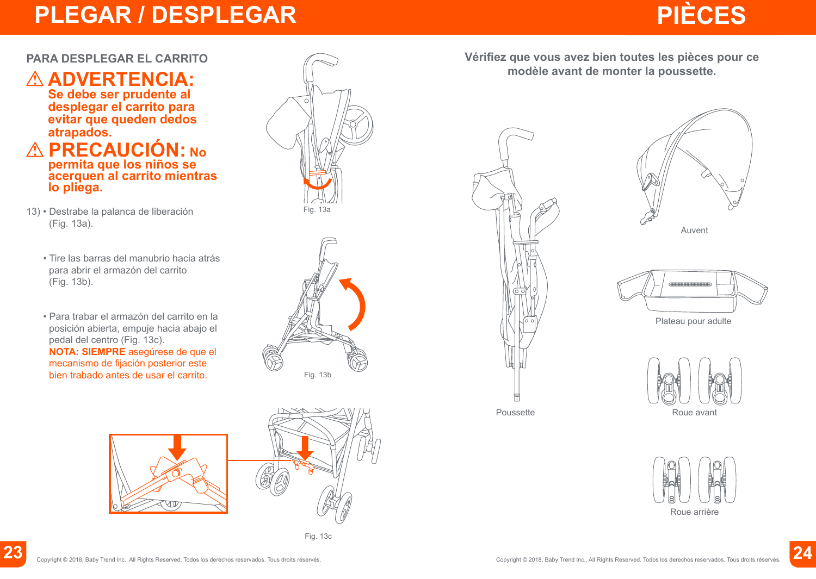## **PLEGAR / DESPLEGAR**



#### **PARA DESPLEGAR EL CARRITO**



#### **PRECAUCIÓN: No permita que los niños se acerquen al carrito mientras lo pliega.**

- 13) Destrabe la palanca de liberación (Fig. 13a).
	- Tire las barras del manubrio hacia atrás para abrir el armazón del carrito (Fig. 13b).
	- Para trabar el armazón del carrito en la posición abierta, empuje hacia abajo el pedal del centro (Fig. 13c). **NOTA: SIEMPRE** asegúrese de que el mecanismo de fijación posterior este bien trabado antes de usar el carrito.









Fig. 13c

**Vérifiez que vous avez bien toutes les pièces pour ce modèle avant de monter la poussette.**









Plateau pour adulte





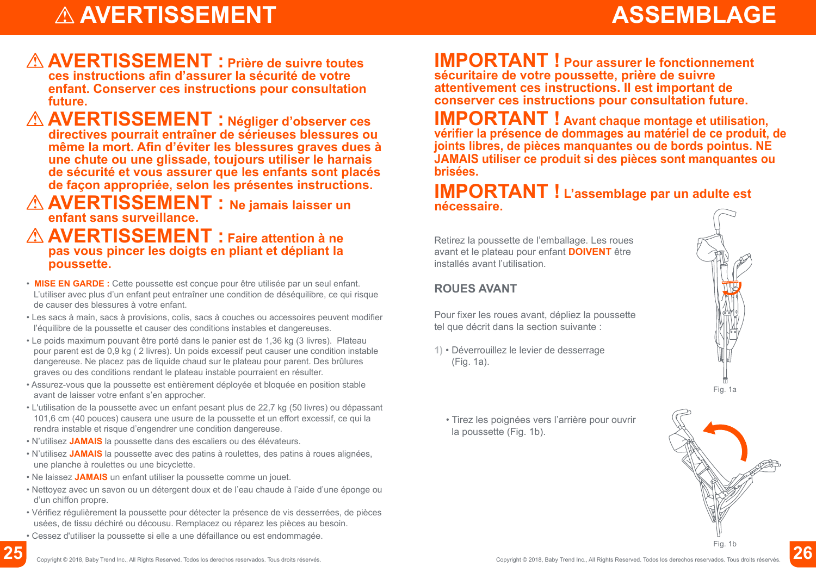# $\triangle$  AVERTISSEMENT

## **ASSEMBLAGE**

#### **AVERTISSEMENT : Prière de suivre toutes ces instructions afin d'assurer la sécurité de votre enfant. Conserver ces instructions pour consultation future.**

 **AVERTISSEMENT : Négliger d'observer ces directives pourrait entraîner de sérieuses blessures ou même la mort. Afin d'éviter les blessures graves dues à une chute ou une glissade, toujours utiliser le harnais de sécurité et vous assurer que les enfants sont placés de façon appropriée, selon les présentes instructions.**

#### **AVERTISSEMENT : Ne jamais laisser un enfant sans surveillance.**

#### **AVERTISSEMENT : Faire attention à ne pas vous pincer les doigts en pliant et dépliant la poussette.**

- **MISE EN GARDE :** Cette poussette est conçue pour être utilisée par un seul enfant. L'utiliser avec plus d'un enfant peut entraîner une condition de déséquilibre, ce qui risque de causer des blessures à votre enfant.
- Les sacs à main, sacs à provisions, colis, sacs à couches ou accessoires peuvent modifier l'équilibre de la poussette et causer des conditions instables et dangereuses.
- Le poids maximum pouvant être porté dans le panier est de 1,36 kg (3 livres). Plateau pour parent est de 0,9 kg ( 2 livres). Un poids excessif peut causer une condition instable dangereuse. Ne placez pas de liquide chaud sur le plateau pour parent. Des brûlures graves ou des conditions rendant le plateau instable pourraient en résulter.
- Assurez-vous que la poussette est entièrement déployée et bloquée en position stable avant de laisser votre enfant s'en approcher.
- L'utilisation de la poussette avec un enfant pesant plus de 22,7 kg (50 livres) ou dépassant 101,6 cm (40 pouces) causera une usure de la poussette et un effort excessif, ce qui la rendra instable et risque d'engendrer une condition dangereuse.
- N'utilisez **JAMAIS** la poussette dans des escaliers ou des élévateurs.
- N'utilisez **JAMAIS** la poussette avec des patins à roulettes, des patins à roues alignées, une planche à roulettes ou une bicyclette.
- Ne laissez **JAMAIS** un enfant utiliser la poussette comme un jouet.
- Nettoyez avec un savon ou un détergent doux et de l'eau chaude à l'aide d'une éponge ou d'un chiffon propre.
- Vérifiez régulièrement la poussette pour détecter la présence de vis desserrées, de pièces usées, de tissu déchiré ou décousu. Remplacez ou réparez les pièces au besoin.
- Cessez d'utiliser la poussette si elle a une défaillance ou est endommagée.

**IMPORTANT ! Pour assurer le fonctionnement sécuritaire de votre poussette, prière de suivre attentivement ces instructions. Il est important de conserver ces instructions pour consultation future.**

**IMPORTANT ! Avant chaque montage et utilisation, vérifier la présence de dommages au matériel de ce produit, de joints libres, de pièces manquantes ou de bords pointus. NE JAMAIS utiliser ce produit si des pièces sont manquantes ou brisées.**

#### **IMPORTANT ! L'assemblage par un adulte est nécessaire.**

Retirez la poussette de l'emballage. Les roues avant et le plateau pour enfant **DOIVENT** être installés avant l'utilisation.

#### **ROUES AVANT**

Pour fixer les roues avant, dépliez la poussette tel que décrit dans la section suivante :

**1)** • Déverrouillez le levier de desserrage (Fig. 1a).



• Tirez les poignées vers l'arrière pour ouvrir la poussette (Fig. 1b).

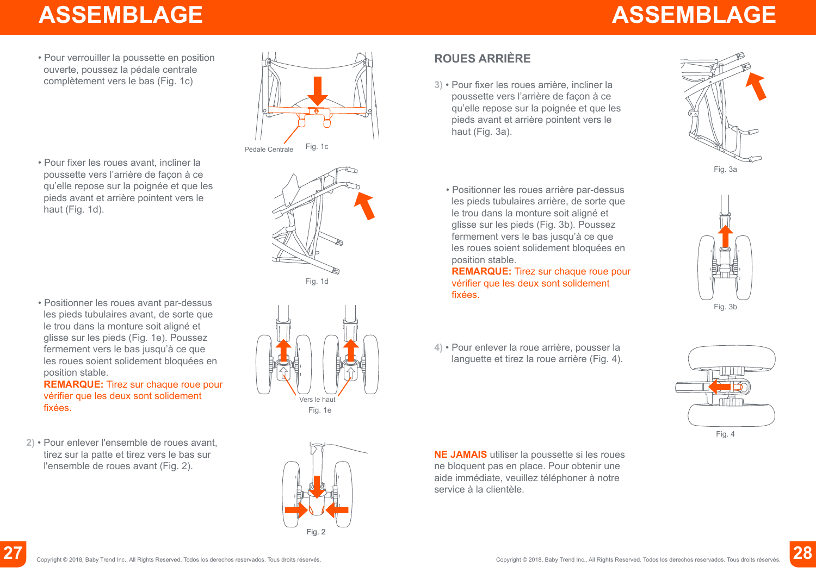## **ASSEMBLAGE ASSEMBLAGE**

• Pour verrouiller la poussette en position ouverte, poussez la pédale centrale complètement vers le bas (Fig. 1c)

• Pour fixer les roues avant, incliner la poussette vers l'arrière de façon à ce qu'elle repose sur la poignée et que les pieds avant et arrière pointent vers le haut (Fig. 1d).

• Positionner les roues avant par-dessus les pieds tubulaires avant, de sorte que le trou dans la monture soit aligné et glisse sur les pieds (Fig. 1e). Poussez fermement vers le bas jusqu'à ce que les roues soient solidement bloquées en position stable.

**REMARQUE:** Tirez sur chaque roue pour vérifier que les deux sont solidement fixées.

**2)** • Pour enlever l'ensemble de roues avant, tirez sur la patte et tirez vers le bas sur l'ensemble de roues avant (Fig. 2).





Fig. 1e



### **ROUES ARRIÈRE**

**3)** • Pour fixer les roues arrière, incliner la poussette vers l'arrière de façon à ce qu'elle repose sur la poignée et que les pieds avant et arrière pointent vers le haut (Fig. 3a).



• Positionner les roues arrière par-dessus les pieds tubulaires arrière, de sorte que le trou dans la monture soit aligné et glisse sur les pieds (Fig. 3b). Poussez fermement vers le bas jusqu'à ce que les roues soient solidement bloquées en position stable.

**REMARQUE:** Tirez sur chaque roue pour vérifier que les deux sont solidement fixées.

**4)** • Pour enlever la roue arrière, pousser la languette et tirez la roue arrière (Fig. 4).





**NE JAMAIS** utiliser la poussette si les roues ne bloquent pas en place. Pour obtenir une aide immédiate, veuillez téléphoner à notre service à la clientèle.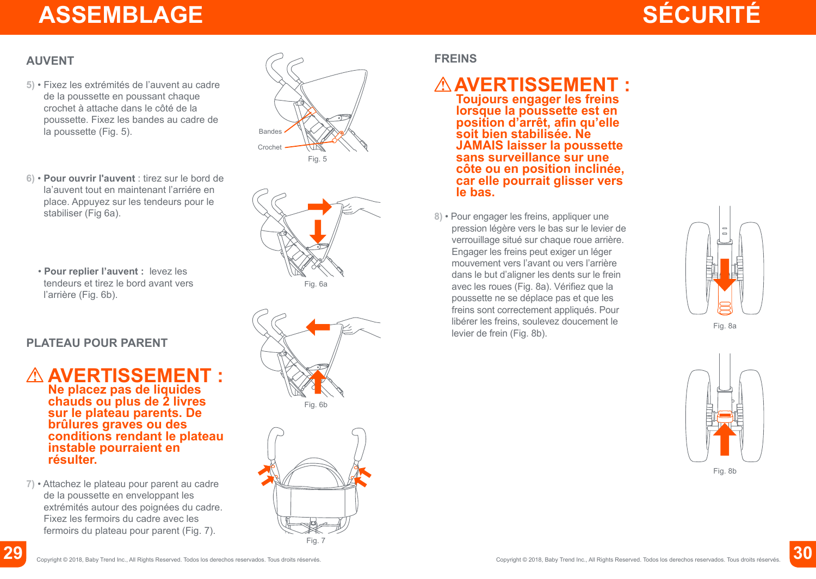## **ASSEMBLAGE**

# **SÉCURITÉ**

#### **AUVENT**

- **5)** Fixez les extrémités de l'auvent au cadre de la poussette en poussant chaque crochet à attache dans le côté de la poussette. Fixez les bandes au cadre de la poussette (Fig. 5).
- **6) Pour ouvrir l'auvent** : tirez sur le bord de la'auvent tout en maintenant l'arriére en place. Appuyez sur les tendeurs pour le stabiliser (Fig 6a).
	- **Pour replier l'auvent :** levez les tendeurs et tirez le bord avant vers l'arrière (Fig. 6b).

#### **PLATEAU POUR PARENT**

#### **AVERTISSEMENT : Ne placez pas de liquides chauds ou plus de 2 livres sur le plateau parents. De brûlures graves ou des conditions rendant le plateau instable pourraient en résulter.**

**7)** • Attachez le plateau pour parent au cadre de la poussette en enveloppant les extrémités autour des poignées du cadre. Fixez les fermoirs du cadre avec les fermoirs du plateau pour parent (Fig. 7).









#### **FREINS**

### **AVERTISSEMENT :**

**Toujours engager les freins lorsque la poussette est en position d'arrêt, afin qu'elle soit bien stabilisée. Ne JAMAIS laisser la poussette sans surveillance sur une côte ou en position inclinée, car elle pourrait glisser vers le bas.**

**8)** • Pour engager les freins, appliquer une pression légère vers le bas sur le levier de verrouillage situé sur chaque roue arrière. Engager les freins peut exiger un léger mouvement vers l'avant ou vers l'arrière dans le but d'aligner les dents sur le frein avec les roues (Fig. 8a). Vérifiez que la poussette ne se déplace pas et que les freins sont correctement appliqués. Pour libérer les freins, soulevez doucement le levier de frein (Fig. 8b).





**30**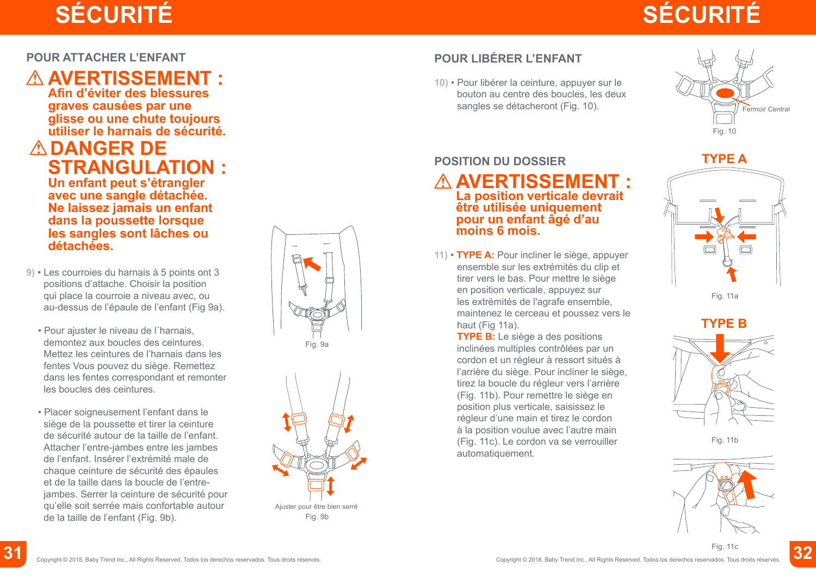# **SÉCURITÉ SÉCURITÉ**

#### **POUR ATTACHER L'ENFANT**

### **AVERTISSEMENT :**

**Afin d'éviter des blessures graves causées par une glisse ou une chute toujours utiliser le harnais de sécurité.**

### **DANGER DE STRANGULATION :**

**Un enfant peut s'étrangler avec une sangle détachée. Ne laissez jamais un enfant dans la poussette lorsque les sangles sont lâches ou détachées.**

- **9)** Les courroies du harnais à 5 points ont 3 positions d'attache. Choisir la position qui place la courroie a niveau avec, ou au-dessus de l'épaule de l'enfant (Fig 9a).
	- Pour ajuster le niveau de l´harnais, demontez aux boucles des ceintures. Mettez les ceintures de l'harnais dans les fentes Vous pouvez du siège. Remettez dans les fentes correspondant et remonter les boucles des ceintures.
	- Placer soigneusement l'enfant dans le siège de la poussette et tirer la ceinture de sécurité autour de la taille de l'enfant. Attacher l'entre-jambes entre les jambes de l'enfant. Insérer l'extrémité male de chaque ceinture de sécurité des épaules et de la taille dans la boucle de l'entrejambes. Serrer la ceinture de sécurité pour qu'elle soit serrée mais confortable autour de la taille de l'enfant (Fig. 9b).





### **POUR LIBÉRER L'ENFANT**

**10)** • Pour libérer la ceinture, appuyer sur le bouton au centre des boucles, les deux sangles se détacheront (Fig. 10).



#### **POSITION DU DOSSIER**

#### **AVERTISSEMENT : La position verticale devrait être utilisée uniquement pour un enfant âgé d'au moins 6 mois.**

**11)** • **TYPE A:** Pour incliner le siège, appuyer ensemble sur les extrémités du clip et tirer vers le bas. Pour mettre le siège en position verticale, appuyez sur les extrémités de l'agrafe ensemble, maintenez le cerceau et poussez vers le haut (Fig 11a).

**TYPE B:** Le siège a des positions inclinées multiples contrôlées par un cordon et un régleur à ressort situés à l'arrière du siège. Pour incliner le siège, tirez la boucle du régleur vers l'arrière (Fig. 11b). Pour remettre le siège en position plus verticale, saisissez le régleur d'une main et tirez le cordon à la position voulue avec l'autre main (Fig. 11c). Le cordon va se verrouiller automatiquement.

## **TYPE A**



Fig. 11a

### **TYPE B**



Fig. 11b



Fig. 11c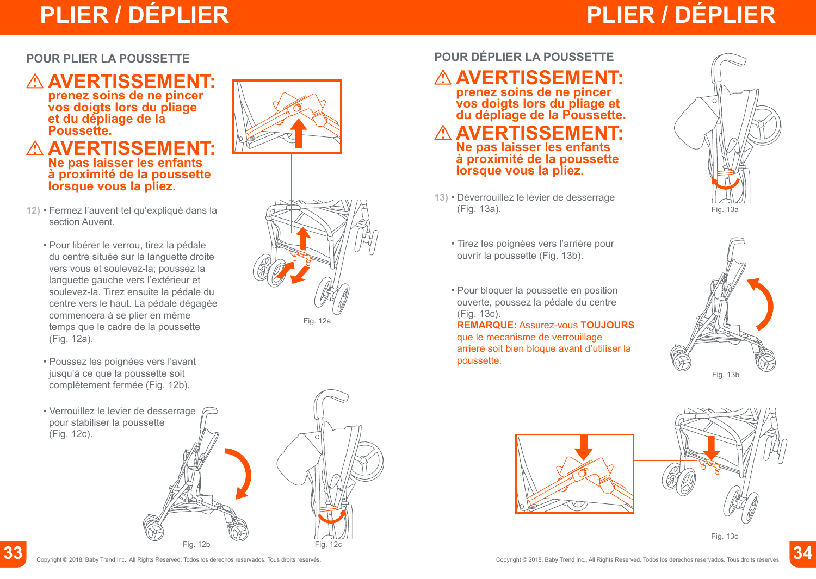# **PLIER / DÉPLIER PLIER / DÉPLIER**

# **PLIER / DÉPLIER**

#### **POUR PLIER LA POUSSETTE**

# **AVERTISSEMENT: prenez soins de ne pincer**

**vos doigts lors du pliage et du dépliage de la Poussette.**

#### **AVERTISSEMENT: Ne pas laisser les enfants à proximité de la poussette lorsque vous la pliez.**

- **12)** Fermez l'auvent tel qu'expliqué dans la section Auvent.
	- Pour libérer le verrou, tirez la pédale du centre située sur la languette droite vers vous et soulevez-la; poussez la languette gauche vers l'extérieur et soulevez-la. Tirez ensuite la pédale du centre vers le haut. La pédale dégagée commencera à se plier en même temps que le cadre de la poussette (Fig. 12a).
	- Poussez les poignées vers l'avant jusqu'à ce que la poussette soit complètement fermée (Fig. 12b).
	- Verrouillez le levier de desserrage pour stabiliser la poussette (Fig. 12c).





#### **POUR DÉPLIER LA POUSSETTE**

# **AVERTISSEMENT: prenez soins de ne pincer**

**vos doigts lors du pliage et du dépliage de la Poussette.**

 **AVERTISSEMENT: Ne pas laisser les enfants à proximité de la poussette lorsque vous la pliez.**

- **13)** Déverrouillez le levier de desserrage (Fig. 13a).
	- Tirez les poignées vers l'arrière pour ouvrir la poussette (Fig. 13b).
	- Pour bloquer la poussette en position ouverte, poussez la pédale du centre (Fig. 13c).

**REMARQUE:** Assurez-vous **TOUJOURS** que le mecanisme de verrouillage arriere soit bien bloque avant d'utiliser la poussette.









Fig.  $12b$  Fig.  $12c$